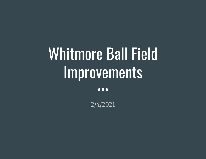# Whitmore Ball Field Improvements

 $\bullet\bullet\bullet$ 

2/4/2021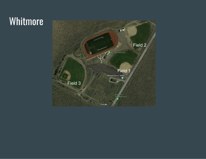## Whitmore

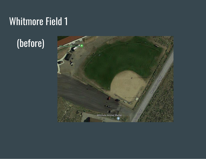## Whitmore Field 1

# (before)

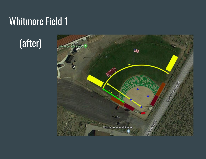# Whitmore Field 1

# (after)

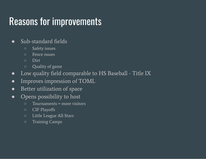### Reasons for improvements

#### ● Sub-standard fields

- Safety issues
- Fence issues
- Dirt
- Quality of game
- Low quality field comparable to HS Baseball Title IX
- Improves impression of TOML
- Better utilization of space
- Opens possibility to host
	- Tournaments = more visitors
	- CIF Playoffs
	- Little League All-Stars
	- Training Camps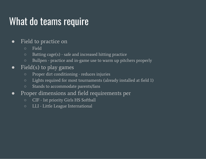### What do teams require

#### ● Field to practice on

- Field
- Batting cage(s) safe and increased hitting practice
- Bullpen practice and in-game use to warm up pitchers properly

#### • Field(s) to play games

- Proper dirt conditioning reduces injuries
- Lights required for most tournaments (already installed at field 1)
- Stands to accommodate parents/fans
- Proper dimensions and field requirements per
	- CIF 1st priority Girls HS Softball
	- LLI Little League International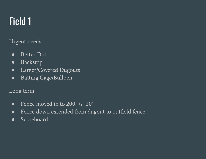# Field 1

Urgent needs

- Better Dirt
- Backstop
- Larger/Covered Dugouts
- Batting Cage/Bullpen

#### Long term

- Fence moved in to  $200'$  +/-  $20'$
- Fence down extended from dugout to outfield fence
- Scoreboard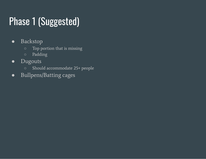# Phase 1 (Suggested)

- Backstop
	- Top portion that is missing
	- Padding
- Dugouts
	- Should accommodate 25+ people
- Bullpens/Batting cages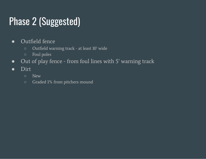# Phase 2 (Suggested)

- Outfield fence
	- Outfield warning track at least 10' wide
	- Foul poles
- Out of play fence from foul lines with 5' warning track
- Dirt
	- New
	- Graded 1% from pitchers mound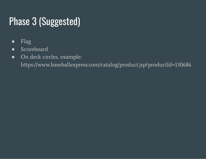# Phase 3 (Suggested)

- Flag
- Scoreboard
- On deck circles, example:

https://www.baseballexpress.com/catalog/product.jsp?productId=130686